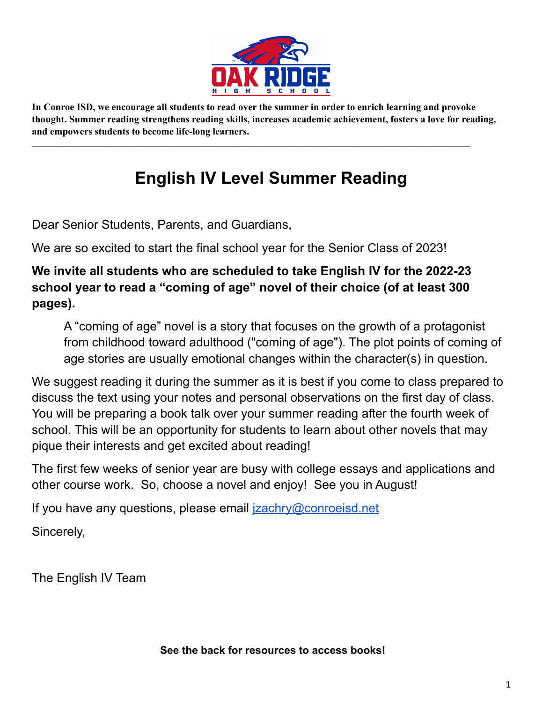

In Conroe ISD, we encourage all students to read over the summer in order to enrich learning and provoke **thought. Summer reading strengthens reading skills, increases academic achievement, fosters a love for reading, and empowers students to become life-long learners.**

 $\mathcal{L}_\text{max}$  , and the contribution of the contribution of the contribution of the contribution of the contribution of the contribution of the contribution of the contribution of the contribution of the contribution of t

## **English IV Level Summer Reading**

Dear Senior Students, Parents, and Guardians,

We are so excited to start the final school year for the Senior Class of 2023!

## **We invite all students who are scheduled to take English IV for the 2022-23 school year to read a "coming of age" novel of their choice (of at least 300 pages).**

A "coming of age" novel is a story that focuses on the growth of a protagonist from childhood toward adulthood ("coming of age"). The plot points of coming of age stories are usually emotional changes within the character(s) in question.

We suggest reading it during the summer as it is best if you come to class prepared to discuss the text using your notes and personal observations on the first day of class. You will be preparing a book talk over your summer reading after the fourth week of school. This will be an opportunity for students to learn about other novels that may pique their interests and get excited about reading!

The first few weeks of senior year are busy with college essays and applications and other course work. So, choose a novel and enjoy! See you in August!

If you have any questions, please email [jzachry@conroeisd.net](mailto:jzachry@conroeisd.net)

Sincerely,

The English IV Team